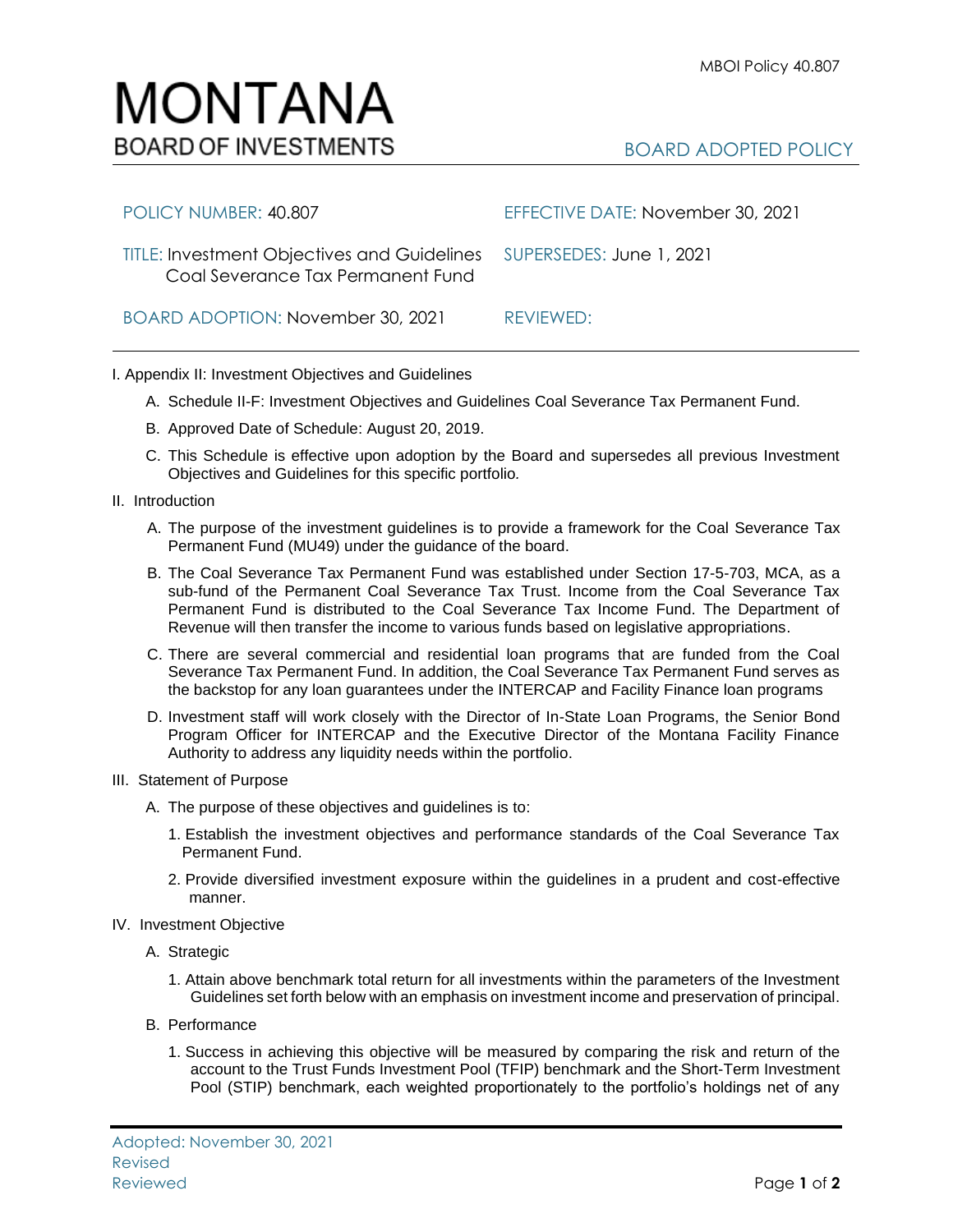## MONTANA **BOARD OF INVESTMENTS**

| POLICY NUMBER: 40.807                                                                                     | EFFECTIVE DATE: November 30, 2021 |
|-----------------------------------------------------------------------------------------------------------|-----------------------------------|
| TITLE: Investment Objectives and Guidelines SUPERSEDES: June 1, 2021<br>Coal Severance Tax Permanent Fund |                                   |
| BOARD ADOPTION: November 30, 2021                                                                         | REVIEWED:                         |

## I. Appendix II: Investment Objectives and Guidelines

- A. Schedule II-F: Investment Objectives and Guidelines Coal Severance Tax Permanent Fund.
- B. Approved Date of Schedule: August 20, 2019.
- C. This Schedule is effective upon adoption by the Board and supersedes all previous Investment Objectives and Guidelines for this specific portfolio*.*
- II. Introduction
	- A. The purpose of the investment guidelines is to provide a framework for the Coal Severance Tax Permanent Fund (MU49) under the guidance of the board.
	- B. The Coal Severance Tax Permanent Fund was established under Section 17-5-703, MCA, as a sub-fund of the Permanent Coal Severance Tax Trust. Income from the Coal Severance Tax Permanent Fund is distributed to the Coal Severance Tax Income Fund. The Department of Revenue will then transfer the income to various funds based on legislative appropriations.
	- C. There are several commercial and residential loan programs that are funded from the Coal Severance Tax Permanent Fund. In addition, the Coal Severance Tax Permanent Fund serves as the backstop for any loan guarantees under the INTERCAP and Facility Finance loan programs
	- D. Investment staff will work closely with the Director of In-State Loan Programs, the Senior Bond Program Officer for INTERCAP and the Executive Director of the Montana Facility Finance Authority to address any liquidity needs within the portfolio.
- III. Statement of Purpose
	- A. The purpose of these objectives and guidelines is to:
		- 1. Establish the investment objectives and performance standards of the Coal Severance Tax Permanent Fund.
		- 2. Provide diversified investment exposure within the guidelines in a prudent and cost-effective manner.
- IV. Investment Objective
	- A. Strategic
		- 1. Attain above benchmark total return for all investments within the parameters of the Investment Guidelines set forth below with an emphasis on investment income and preservation of principal.
	- B. Performance
		- 1. Success in achieving this objective will be measured by comparing the risk and return of the account to the Trust Funds Investment Pool (TFIP) benchmark and the Short-Term Investment Pool (STIP) benchmark, each weighted proportionately to the portfolio's holdings net of any